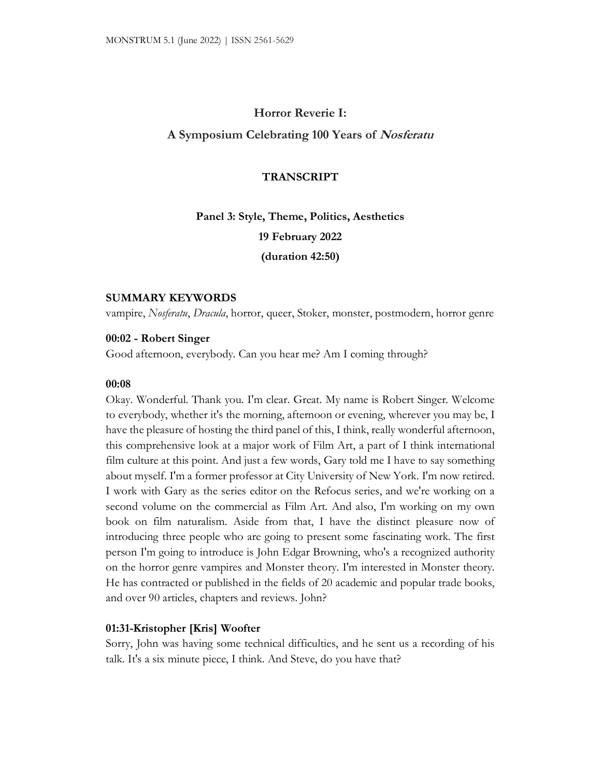# **Horror Reverie I:**

# **A Symposium Celebrating 100 Years of Nosferatu**

## **TRANSCRIPT**

# **Panel 3: Style, Theme, Politics, Aesthetics 19 February 2022 (duration 42:50)**

## **SUMMARY KEYWORDS**

vampire, *Nosferatu*, *Dracula*, horror, queer, Stoker, monster, postmodern, horror genre

# **00:02 - Robert Singer**

Good afternoon, everybody. Can you hear me? Am I coming through?

## **00:08**

Okay. Wonderful. Thank you. I'm clear. Great. My name is Robert Singer. Welcome to everybody, whether it's the morning, afternoon or evening, wherever you may be, I have the pleasure of hosting the third panel of this, I think, really wonderful afternoon, this comprehensive look at a major work of Film Art, a part of I think international film culture at this point. And just a few words, Gary told me I have to say something about myself. I'm a former professor at City University of New York. I'm now retired. I work with Gary as the series editor on the Refocus series, and we're working on a second volume on the commercial as Film Art. And also, I'm working on my own book on film naturalism. Aside from that, I have the distinct pleasure now of introducing three people who are going to present some fascinating work. The first person I'm going to introduce is John Edgar Browning, who's a recognized authority on the horror genre vampires and Monster theory. I'm interested in Monster theory. He has contracted or published in the fields of 20 academic and popular trade books, and over 90 articles, chapters and reviews. John?

## **01:31-Kristopher [Kris] Woofter**

Sorry, John was having some technical difficulties, and he sent us a recording of his talk. It's a six minute piece, I think. And Steve, do you have that?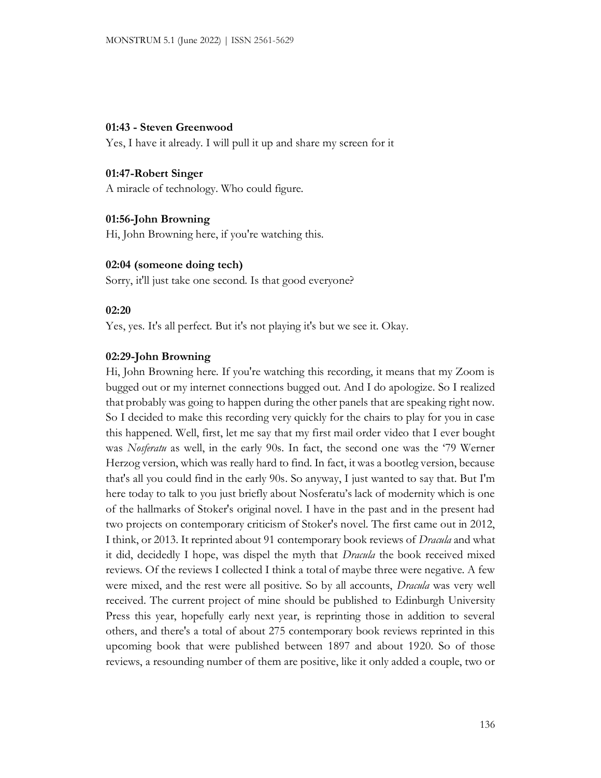## **01:43 - Steven Greenwood**

Yes, I have it already. I will pull it up and share my screen for it

# **01:47-Robert Singer**

A miracle of technology. Who could figure.

# **01:56-John Browning**

Hi, John Browning here, if you're watching this.

# **02:04 (someone doing tech)**

Sorry, it'll just take one second. Is that good everyone?

## **02:20**

Yes, yes. It's all perfect. But it's not playing it's but we see it. Okay.

## **02:29-John Browning**

Hi, John Browning here. If you're watching this recording, it means that my Zoom is bugged out or my internet connections bugged out. And I do apologize. So I realized that probably was going to happen during the other panels that are speaking right now. So I decided to make this recording very quickly for the chairs to play for you in case this happened. Well, first, let me say that my first mail order video that I ever bought was *Nosferatu* as well, in the early 90s. In fact, the second one was the '79 Werner Herzog version, which was really hard to find. In fact, it was a bootleg version, because that's all you could find in the early 90s. So anyway, I just wanted to say that. But I'm here today to talk to you just briefly about Nosferatu's lack of modernity which is one of the hallmarks of Stoker's original novel. I have in the past and in the present had two projects on contemporary criticism of Stoker's novel. The first came out in 2012, I think, or 2013. It reprinted about 91 contemporary book reviews of *Dracula* and what it did, decidedly I hope, was dispel the myth that *Dracula* the book received mixed reviews. Of the reviews I collected I think a total of maybe three were negative. A few were mixed, and the rest were all positive. So by all accounts, *Dracula* was very well received. The current project of mine should be published to Edinburgh University Press this year, hopefully early next year, is reprinting those in addition to several others, and there's a total of about 275 contemporary book reviews reprinted in this upcoming book that were published between 1897 and about 1920. So of those reviews, a resounding number of them are positive, like it only added a couple, two or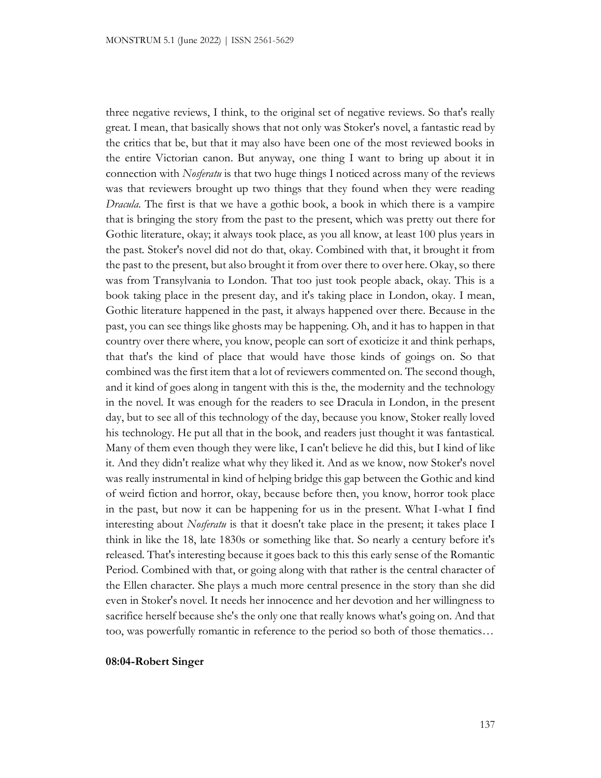three negative reviews, I think, to the original set of negative reviews. So that's really great. I mean, that basically shows that not only was Stoker's novel, a fantastic read by the critics that be, but that it may also have been one of the most reviewed books in the entire Victorian canon. But anyway, one thing I want to bring up about it in connection with *Nosferatu* is that two huge things I noticed across many of the reviews was that reviewers brought up two things that they found when they were reading *Dracula*. The first is that we have a gothic book, a book in which there is a vampire that is bringing the story from the past to the present, which was pretty out there for Gothic literature, okay; it always took place, as you all know, at least 100 plus years in the past. Stoker's novel did not do that, okay. Combined with that, it brought it from the past to the present, but also brought it from over there to over here. Okay, so there was from Transylvania to London. That too just took people aback, okay. This is a book taking place in the present day, and it's taking place in London, okay. I mean, Gothic literature happened in the past, it always happened over there. Because in the past, you can see things like ghosts may be happening. Oh, and it has to happen in that country over there where, you know, people can sort of exoticize it and think perhaps, that that's the kind of place that would have those kinds of goings on. So that combined was the first item that a lot of reviewers commented on. The second though, and it kind of goes along in tangent with this is the, the modernity and the technology in the novel. It was enough for the readers to see Dracula in London, in the present day, but to see all of this technology of the day, because you know, Stoker really loved his technology. He put all that in the book, and readers just thought it was fantastical. Many of them even though they were like, I can't believe he did this, but I kind of like it. And they didn't realize what why they liked it. And as we know, now Stoker's novel was really instrumental in kind of helping bridge this gap between the Gothic and kind of weird fiction and horror, okay, because before then, you know, horror took place in the past, but now it can be happening for us in the present. What I-what I find interesting about *Nosferatu* is that it doesn't take place in the present; it takes place I think in like the 18, late 1830s or something like that. So nearly a century before it's released. That's interesting because it goes back to this this early sense of the Romantic Period. Combined with that, or going along with that rather is the central character of the Ellen character. She plays a much more central presence in the story than she did even in Stoker's novel. It needs her innocence and her devotion and her willingness to sacrifice herself because she's the only one that really knows what's going on. And that too, was powerfully romantic in reference to the period so both of those thematics…

## **08:04-Robert Singer**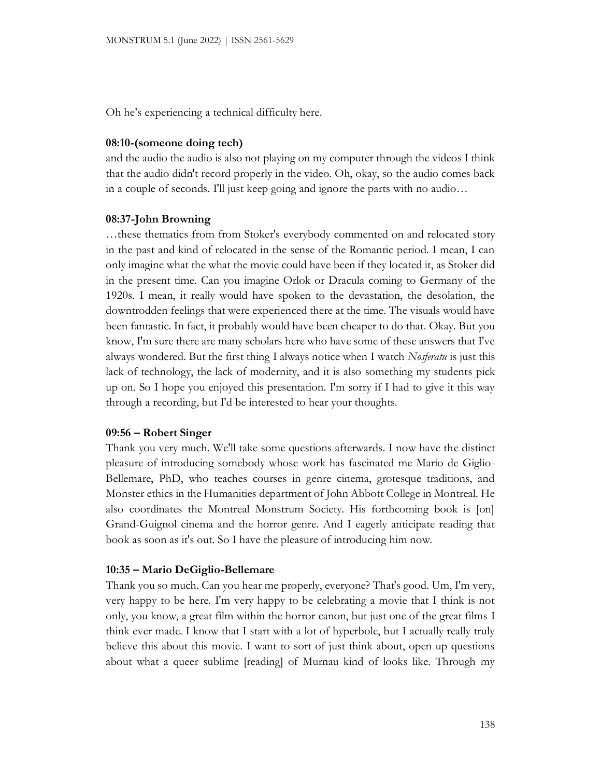Oh he's experiencing a technical difficulty here.

## **08:10-(someone doing tech)**

and the audio the audio is also not playing on my computer through the videos I think that the audio didn't record properly in the video. Oh, okay, so the audio comes back in a couple of seconds. I'll just keep going and ignore the parts with no audio…

## **08:37-John Browning**

…these thematics from from Stoker's everybody commented on and relocated story in the past and kind of relocated in the sense of the Romantic period. I mean, I can only imagine what the what the movie could have been if they located it, as Stoker did in the present time. Can you imagine Orlok or Dracula coming to Germany of the 1920s. I mean, it really would have spoken to the devastation, the desolation, the downtrodden feelings that were experienced there at the time. The visuals would have been fantastic. In fact, it probably would have been cheaper to do that. Okay. But you know, I'm sure there are many scholars here who have some of these answers that I've always wondered. But the first thing I always notice when I watch *Nosferatu* is just this lack of technology, the lack of modernity, and it is also something my students pick up on. So I hope you enjoyed this presentation. I'm sorry if I had to give it this way through a recording, but I'd be interested to hear your thoughts.

#### **09:56 – Robert Singer**

Thank you very much. We'll take some questions afterwards. I now have the distinct pleasure of introducing somebody whose work has fascinated me Mario de Giglio-Bellemare, PhD, who teaches courses in genre cinema, grotesque traditions, and Monster ethics in the Humanities department of John Abbott College in Montreal. He also coordinates the Montreal Monstrum Society. His forthcoming book is [on] Grand-Guignol cinema and the horror genre. And I eagerly anticipate reading that book as soon as it's out. So I have the pleasure of introducing him now.

#### **10:35 – Mario DeGiglio-Bellemare**

Thank you so much. Can you hear me properly, everyone? That's good. Um, I'm very, very happy to be here. I'm very happy to be celebrating a movie that I think is not only, you know, a great film within the horror canon, but just one of the great films I think ever made. I know that I start with a lot of hyperbole, but I actually really truly believe this about this movie. I want to sort of just think about, open up questions about what a queer sublime [reading] of Murnau kind of looks like. Through my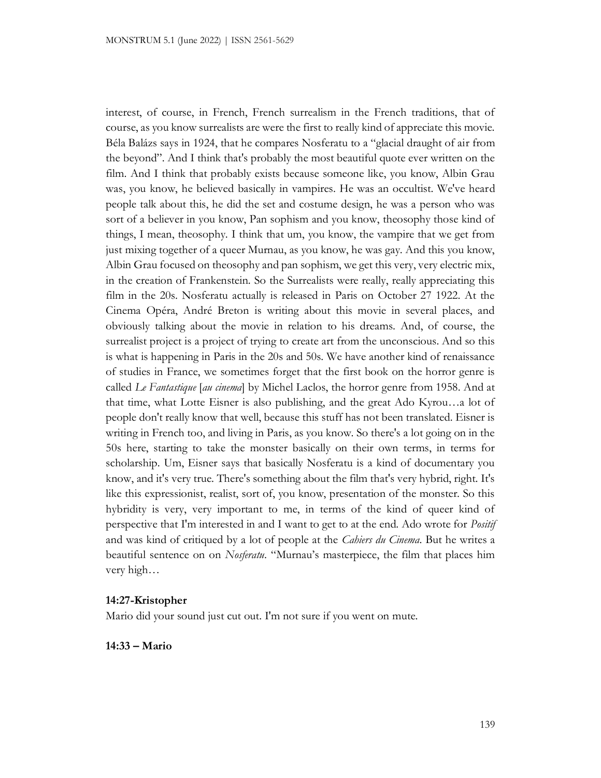interest, of course, in French, French surrealism in the French traditions, that of course, as you know surrealists are were the first to really kind of appreciate this movie. Béla Balázs says in 1924, that he compares Nosferatu to a "glacial draught of air from the beyond". And I think that's probably the most beautiful quote ever written on the film. And I think that probably exists because someone like, you know, Albin Grau was, you know, he believed basically in vampires. He was an occultist. We've heard people talk about this, he did the set and costume design, he was a person who was sort of a believer in you know, Pan sophism and you know, theosophy those kind of things, I mean, theosophy. I think that um, you know, the vampire that we get from just mixing together of a queer Murnau, as you know, he was gay. And this you know, Albin Grau focused on theosophy and pan sophism, we get this very, very electric mix, in the creation of Frankenstein. So the Surrealists were really, really appreciating this film in the 20s. Nosferatu actually is released in Paris on October 27 1922. At the Cinema Opéra, André Breton is writing about this movie in several places, and obviously talking about the movie in relation to his dreams. And, of course, the surrealist project is a project of trying to create art from the unconscious. And so this is what is happening in Paris in the 20s and 50s. We have another kind of renaissance of studies in France, we sometimes forget that the first book on the horror genre is called *Le Fantastique* [*au cinema*] by Michel Laclos, the horror genre from 1958. And at that time, what Lotte Eisner is also publishing, and the great Ado Kyrou…a lot of people don't really know that well, because this stuff has not been translated. Eisner is writing in French too, and living in Paris, as you know. So there's a lot going on in the 50s here, starting to take the monster basically on their own terms, in terms for scholarship. Um, Eisner says that basically Nosferatu is a kind of documentary you know, and it's very true. There's something about the film that's very hybrid, right. It's like this expressionist, realist, sort of, you know, presentation of the monster. So this hybridity is very, very important to me, in terms of the kind of queer kind of perspective that I'm interested in and I want to get to at the end. Ado wrote for *Positif* and was kind of critiqued by a lot of people at the *Cahiers du Cinema*. But he writes a beautiful sentence on on *Nosferatu*. "Murnau's masterpiece, the film that places him very high…

# **14:27-Kristopher**

Mario did your sound just cut out. I'm not sure if you went on mute.

**14:33 – Mario**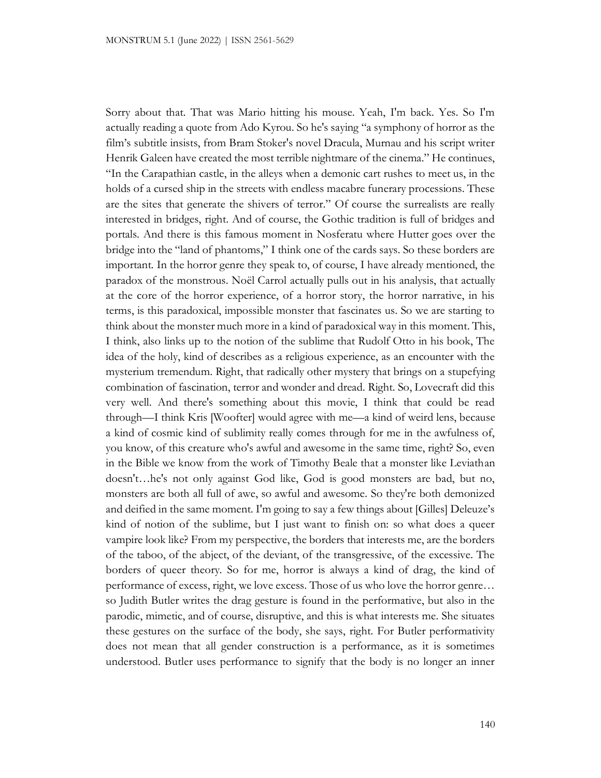Sorry about that. That was Mario hitting his mouse. Yeah, I'm back. Yes. So I'm actually reading a quote from Ado Kyrou. So he's saying "a symphony of horror as the film's subtitle insists, from Bram Stoker's novel Dracula, Murnau and his script writer Henrik Galeen have created the most terrible nightmare of the cinema." He continues, "In the Carapathian castle, in the alleys when a demonic cart rushes to meet us, in the holds of a cursed ship in the streets with endless macabre funerary processions. These are the sites that generate the shivers of terror." Of course the surrealists are really interested in bridges, right. And of course, the Gothic tradition is full of bridges and portals. And there is this famous moment in Nosferatu where Hutter goes over the bridge into the "land of phantoms," I think one of the cards says. So these borders are important. In the horror genre they speak to, of course, I have already mentioned, the paradox of the monstrous. Noël Carrol actually pulls out in his analysis, that actually at the core of the horror experience, of a horror story, the horror narrative, in his terms, is this paradoxical, impossible monster that fascinates us. So we are starting to think about the monster much more in a kind of paradoxical way in this moment. This, I think, also links up to the notion of the sublime that Rudolf Otto in his book, The idea of the holy, kind of describes as a religious experience, as an encounter with the mysterium tremendum. Right, that radically other mystery that brings on a stupefying combination of fascination, terror and wonder and dread. Right. So, Lovecraft did this very well. And there's something about this movie, I think that could be read through—I think Kris [Woofter] would agree with me—a kind of weird lens, because a kind of cosmic kind of sublimity really comes through for me in the awfulness of, you know, of this creature who's awful and awesome in the same time, right? So, even in the Bible we know from the work of Timothy Beale that a monster like Leviathan doesn't…he's not only against God like, God is good monsters are bad, but no, monsters are both all full of awe, so awful and awesome. So they're both demonized and deified in the same moment. I'm going to say a few things about [Gilles] Deleuze's kind of notion of the sublime, but I just want to finish on: so what does a queer vampire look like? From my perspective, the borders that interests me, are the borders of the taboo, of the abject, of the deviant, of the transgressive, of the excessive. The borders of queer theory. So for me, horror is always a kind of drag, the kind of performance of excess, right, we love excess. Those of us who love the horror genre… so Judith Butler writes the drag gesture is found in the performative, but also in the parodic, mimetic, and of course, disruptive, and this is what interests me. She situates these gestures on the surface of the body, she says, right. For Butler performativity does not mean that all gender construction is a performance, as it is sometimes understood. Butler uses performance to signify that the body is no longer an inner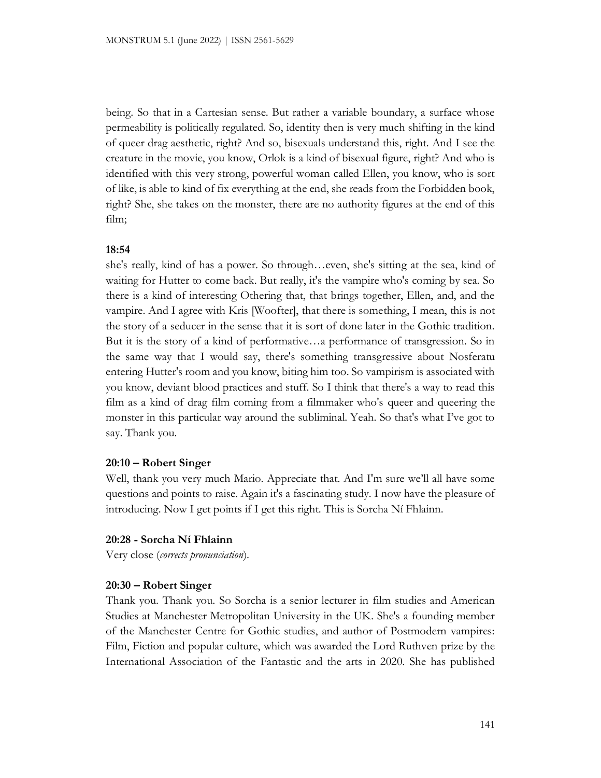being. So that in a Cartesian sense. But rather a variable boundary, a surface whose permeability is politically regulated. So, identity then is very much shifting in the kind of queer drag aesthetic, right? And so, bisexuals understand this, right. And I see the creature in the movie, you know, Orlok is a kind of bisexual figure, right? And who is identified with this very strong, powerful woman called Ellen, you know, who is sort of like, is able to kind of fix everything at the end, she reads from the Forbidden book, right? She, she takes on the monster, there are no authority figures at the end of this film;

## **18:54**

she's really, kind of has a power. So through…even, she's sitting at the sea, kind of waiting for Hutter to come back. But really, it's the vampire who's coming by sea. So there is a kind of interesting Othering that, that brings together, Ellen, and, and the vampire. And I agree with Kris [Woofter], that there is something, I mean, this is not the story of a seducer in the sense that it is sort of done later in the Gothic tradition. But it is the story of a kind of performative…a performance of transgression. So in the same way that I would say, there's something transgressive about Nosferatu entering Hutter's room and you know, biting him too. So vampirism is associated with you know, deviant blood practices and stuff. So I think that there's a way to read this film as a kind of drag film coming from a filmmaker who's queer and queering the monster in this particular way around the subliminal. Yeah. So that's what I've got to say. Thank you.

#### **20:10 – Robert Singer**

Well, thank you very much Mario. Appreciate that. And I'm sure we'll all have some questions and points to raise. Again it's a fascinating study. I now have the pleasure of introducing. Now I get points if I get this right. This is Sorcha Ní Fhlainn.

#### **20:28 - Sorcha Ní Fhlainn**

Very close (*corrects pronunciation*).

#### **20:30 – Robert Singer**

Thank you. Thank you. So Sorcha is a senior lecturer in film studies and American Studies at Manchester Metropolitan University in the UK. She's a founding member of the Manchester Centre for Gothic studies, and author of Postmodern vampires: Film, Fiction and popular culture, which was awarded the Lord Ruthven prize by the International Association of the Fantastic and the arts in 2020. She has published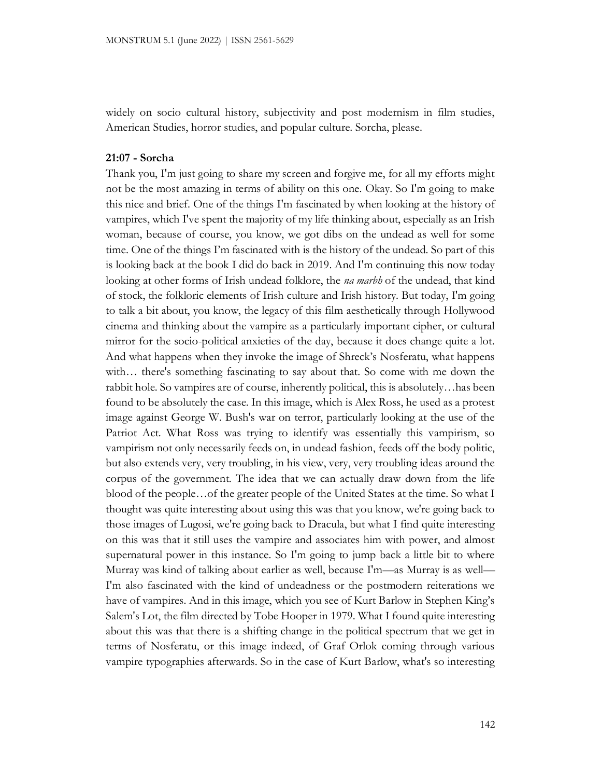widely on socio cultural history, subjectivity and post modernism in film studies, American Studies, horror studies, and popular culture. Sorcha, please.

#### **21:07 - Sorcha**

Thank you, I'm just going to share my screen and forgive me, for all my efforts might not be the most amazing in terms of ability on this one. Okay. So I'm going to make this nice and brief. One of the things I'm fascinated by when looking at the history of vampires, which I've spent the majority of my life thinking about, especially as an Irish woman, because of course, you know, we got dibs on the undead as well for some time. One of the things I'm fascinated with is the history of the undead. So part of this is looking back at the book I did do back in 2019. And I'm continuing this now today looking at other forms of Irish undead folklore, the *na marbh* of the undead, that kind of stock, the folkloric elements of Irish culture and Irish history. But today, I'm going to talk a bit about, you know, the legacy of this film aesthetically through Hollywood cinema and thinking about the vampire as a particularly important cipher, or cultural mirror for the socio-political anxieties of the day, because it does change quite a lot. And what happens when they invoke the image of Shreck's Nosferatu, what happens with… there's something fascinating to say about that. So come with me down the rabbit hole. So vampires are of course, inherently political, this is absolutely…has been found to be absolutely the case. In this image, which is Alex Ross, he used as a protest image against George W. Bush's war on terror, particularly looking at the use of the Patriot Act. What Ross was trying to identify was essentially this vampirism, so vampirism not only necessarily feeds on, in undead fashion, feeds off the body politic, but also extends very, very troubling, in his view, very, very troubling ideas around the corpus of the government. The idea that we can actually draw down from the life blood of the people…of the greater people of the United States at the time. So what I thought was quite interesting about using this was that you know, we're going back to those images of Lugosi, we're going back to Dracula, but what I find quite interesting on this was that it still uses the vampire and associates him with power, and almost supernatural power in this instance. So I'm going to jump back a little bit to where Murray was kind of talking about earlier as well, because I'm—as Murray is as well— I'm also fascinated with the kind of undeadness or the postmodern reiterations we have of vampires. And in this image, which you see of Kurt Barlow in Stephen King's Salem's Lot, the film directed by Tobe Hooper in 1979. What I found quite interesting about this was that there is a shifting change in the political spectrum that we get in terms of Nosferatu, or this image indeed, of Graf Orlok coming through various vampire typographies afterwards. So in the case of Kurt Barlow, what's so interesting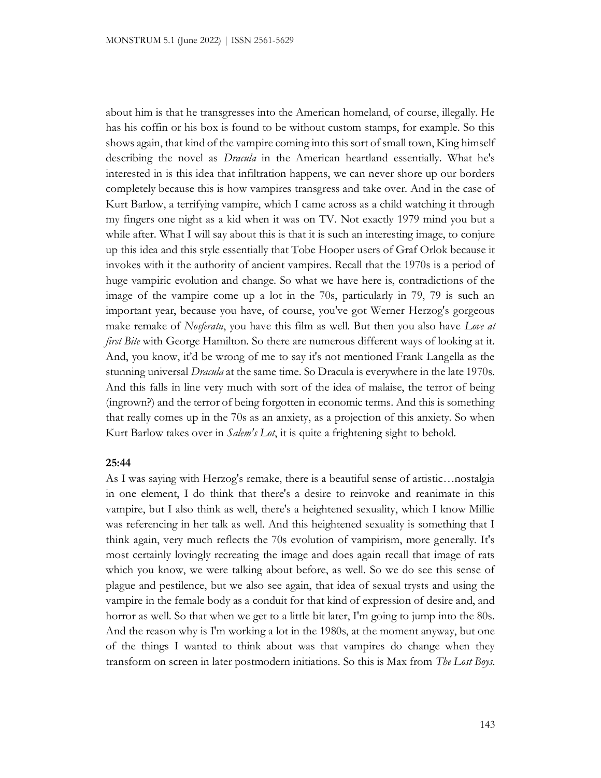about him is that he transgresses into the American homeland, of course, illegally. He has his coffin or his box is found to be without custom stamps, for example. So this shows again, that kind of the vampire coming into this sort of small town, King himself describing the novel as *Dracula* in the American heartland essentially. What he's interested in is this idea that infiltration happens, we can never shore up our borders completely because this is how vampires transgress and take over. And in the case of Kurt Barlow, a terrifying vampire, which I came across as a child watching it through my fingers one night as a kid when it was on TV. Not exactly 1979 mind you but a while after. What I will say about this is that it is such an interesting image, to conjure up this idea and this style essentially that Tobe Hooper users of Graf Orlok because it invokes with it the authority of ancient vampires. Recall that the 1970s is a period of huge vampiric evolution and change. So what we have here is, contradictions of the image of the vampire come up a lot in the 70s, particularly in 79, 79 is such an important year, because you have, of course, you've got Werner Herzog's gorgeous make remake of *Nosferatu*, you have this film as well. But then you also have *Love at first Bite* with George Hamilton. So there are numerous different ways of looking at it. And, you know, it'd be wrong of me to say it's not mentioned Frank Langella as the stunning universal *Dracula* at the same time. So Dracula is everywhere in the late 1970s. And this falls in line very much with sort of the idea of malaise, the terror of being (ingrown?) and the terror of being forgotten in economic terms. And this is something that really comes up in the 70s as an anxiety, as a projection of this anxiety. So when Kurt Barlow takes over in *Salem's Lot*, it is quite a frightening sight to behold.

#### **25:44**

As I was saying with Herzog's remake, there is a beautiful sense of artistic…nostalgia in one element, I do think that there's a desire to reinvoke and reanimate in this vampire, but I also think as well, there's a heightened sexuality, which I know Millie was referencing in her talk as well. And this heightened sexuality is something that I think again, very much reflects the 70s evolution of vampirism, more generally. It's most certainly lovingly recreating the image and does again recall that image of rats which you know, we were talking about before, as well. So we do see this sense of plague and pestilence, but we also see again, that idea of sexual trysts and using the vampire in the female body as a conduit for that kind of expression of desire and, and horror as well. So that when we get to a little bit later, I'm going to jump into the 80s. And the reason why is I'm working a lot in the 1980s, at the moment anyway, but one of the things I wanted to think about was that vampires do change when they transform on screen in later postmodern initiations. So this is Max from *The Lost Boys*.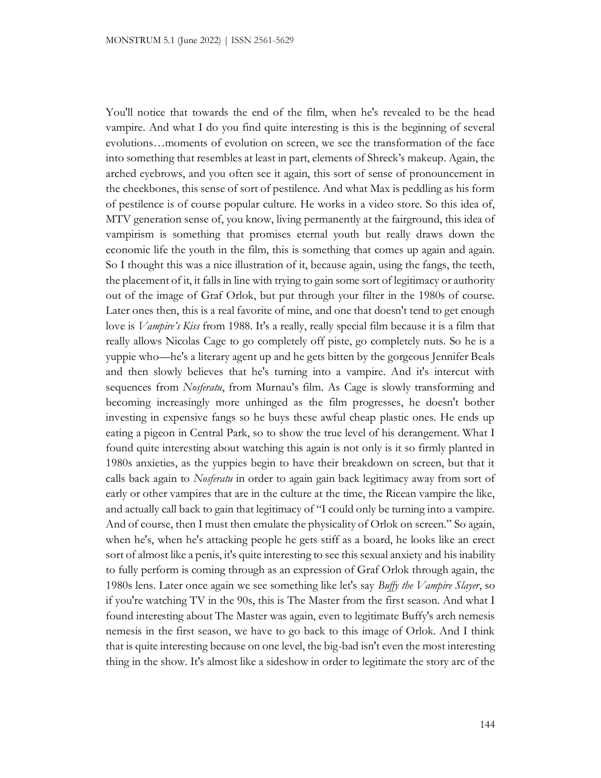You'll notice that towards the end of the film, when he's revealed to be the head vampire. And what I do you find quite interesting is this is the beginning of several evolutions…moments of evolution on screen, we see the transformation of the face into something that resembles at least in part, elements of Shreck's makeup. Again, the arched eyebrows, and you often see it again, this sort of sense of pronouncement in the cheekbones, this sense of sort of pestilence. And what Max is peddling as his form of pestilence is of course popular culture. He works in a video store. So this idea of, MTV generation sense of, you know, living permanently at the fairground, this idea of vampirism is something that promises eternal youth but really draws down the economic life the youth in the film, this is something that comes up again and again. So I thought this was a nice illustration of it, because again, using the fangs, the teeth, the placement of it, it falls in line with trying to gain some sort of legitimacy or authority out of the image of Graf Orlok, but put through your filter in the 1980s of course. Later ones then, this is a real favorite of mine, and one that doesn't tend to get enough love is *Vampire's Kiss* from 1988. It's a really, really special film because it is a film that really allows Nicolas Cage to go completely off piste, go completely nuts. So he is a yuppie who—he's a literary agent up and he gets bitten by the gorgeous Jennifer Beals and then slowly believes that he's turning into a vampire. And it's intercut with sequences from *Nosferatu*, from Murnau's film. As Cage is slowly transforming and becoming increasingly more unhinged as the film progresses, he doesn't bother investing in expensive fangs so he buys these awful cheap plastic ones. He ends up eating a pigeon in Central Park, so to show the true level of his derangement. What I found quite interesting about watching this again is not only is it so firmly planted in 1980s anxieties, as the yuppies begin to have their breakdown on screen, but that it calls back again to *Nosferatu* in order to again gain back legitimacy away from sort of early or other vampires that are in the culture at the time, the Ricean vampire the like, and actually call back to gain that legitimacy of "I could only be turning into a vampire. And of course, then I must then emulate the physicality of Orlok on screen." So again, when he's, when he's attacking people he gets stiff as a board, he looks like an erect sort of almost like a penis, it's quite interesting to see this sexual anxiety and his inability to fully perform is coming through as an expression of Graf Orlok through again, the 1980s lens. Later once again we see something like let's say *Buffy the Vampire Slayer*, so if you're watching TV in the 90s, this is The Master from the first season. And what I found interesting about The Master was again, even to legitimate Buffy's arch nemesis nemesis in the first season, we have to go back to this image of Orlok. And I think that is quite interesting because on one level, the big-bad isn't even the most interesting thing in the show. It's almost like a sideshow in order to legitimate the story arc of the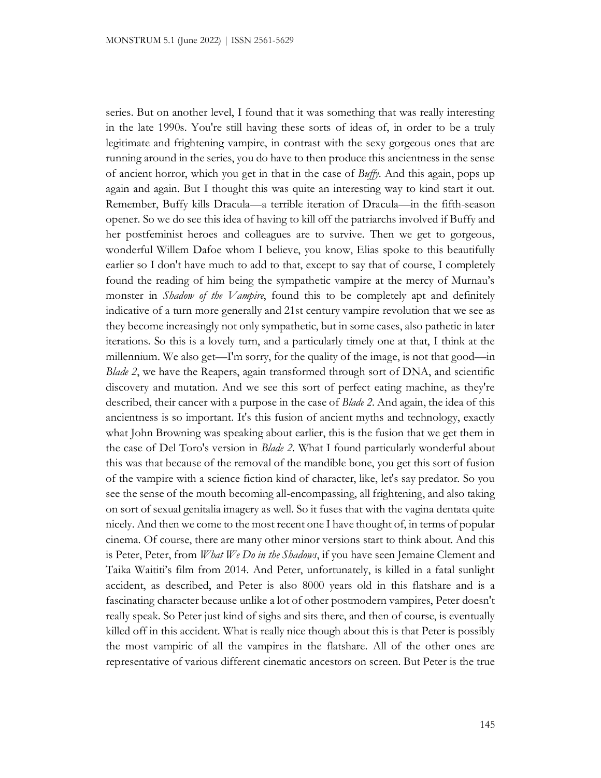series. But on another level, I found that it was something that was really interesting in the late 1990s. You're still having these sorts of ideas of, in order to be a truly legitimate and frightening vampire, in contrast with the sexy gorgeous ones that are running around in the series, you do have to then produce this ancientness in the sense of ancient horror, which you get in that in the case of *Buffy*. And this again, pops up again and again. But I thought this was quite an interesting way to kind start it out. Remember, Buffy kills Dracula—a terrible iteration of Dracula—in the fifth-season opener. So we do see this idea of having to kill off the patriarchs involved if Buffy and her postfeminist heroes and colleagues are to survive. Then we get to gorgeous, wonderful Willem Dafoe whom I believe, you know, Elias spoke to this beautifully earlier so I don't have much to add to that, except to say that of course, I completely found the reading of him being the sympathetic vampire at the mercy of Murnau's monster in *Shadow of the Vampire*, found this to be completely apt and definitely indicative of a turn more generally and 21st century vampire revolution that we see as they become increasingly not only sympathetic, but in some cases, also pathetic in later iterations. So this is a lovely turn, and a particularly timely one at that, I think at the millennium. We also get—I'm sorry, for the quality of the image, is not that good—in *Blade 2*, we have the Reapers, again transformed through sort of DNA, and scientific discovery and mutation. And we see this sort of perfect eating machine, as they're described, their cancer with a purpose in the case of *Blade 2*. And again, the idea of this ancientness is so important. It's this fusion of ancient myths and technology, exactly what John Browning was speaking about earlier, this is the fusion that we get them in the case of Del Toro's version in *Blade 2*. What I found particularly wonderful about this was that because of the removal of the mandible bone, you get this sort of fusion of the vampire with a science fiction kind of character, like, let's say predator. So you see the sense of the mouth becoming all-encompassing, all frightening, and also taking on sort of sexual genitalia imagery as well. So it fuses that with the vagina dentata quite nicely. And then we come to the most recent one I have thought of, in terms of popular cinema. Of course, there are many other minor versions start to think about. And this is Peter, Peter, from *What We Do in the Shadows*, if you have seen Jemaine Clement and Taika Waititi's film from 2014. And Peter, unfortunately, is killed in a fatal sunlight accident, as described, and Peter is also 8000 years old in this flatshare and is a fascinating character because unlike a lot of other postmodern vampires, Peter doesn't really speak. So Peter just kind of sighs and sits there, and then of course, is eventually killed off in this accident. What is really nice though about this is that Peter is possibly the most vampiric of all the vampires in the flatshare. All of the other ones are representative of various different cinematic ancestors on screen. But Peter is the true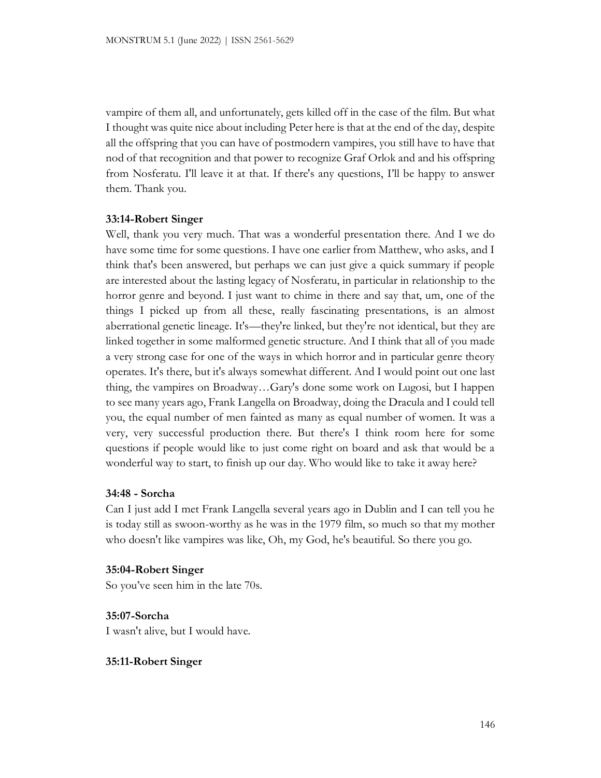vampire of them all, and unfortunately, gets killed off in the case of the film. But what I thought was quite nice about including Peter here is that at the end of the day, despite all the offspring that you can have of postmodern vampires, you still have to have that nod of that recognition and that power to recognize Graf Orlok and and his offspring from Nosferatu. I'll leave it at that. If there's any questions, I'll be happy to answer them. Thank you.

# **33:14-Robert Singer**

Well, thank you very much. That was a wonderful presentation there. And I we do have some time for some questions. I have one earlier from Matthew, who asks, and I think that's been answered, but perhaps we can just give a quick summary if people are interested about the lasting legacy of Nosferatu, in particular in relationship to the horror genre and beyond. I just want to chime in there and say that, um, one of the things I picked up from all these, really fascinating presentations, is an almost aberrational genetic lineage. It's—they're linked, but they're not identical, but they are linked together in some malformed genetic structure. And I think that all of you made a very strong case for one of the ways in which horror and in particular genre theory operates. It's there, but it's always somewhat different. And I would point out one last thing, the vampires on Broadway…Gary's done some work on Lugosi, but I happen to see many years ago, Frank Langella on Broadway, doing the Dracula and I could tell you, the equal number of men fainted as many as equal number of women. It was a very, very successful production there. But there's I think room here for some questions if people would like to just come right on board and ask that would be a wonderful way to start, to finish up our day. Who would like to take it away here?

#### **34:48 - Sorcha**

Can I just add I met Frank Langella several years ago in Dublin and I can tell you he is today still as swoon-worthy as he was in the 1979 film, so much so that my mother who doesn't like vampires was like, Oh, my God, he's beautiful. So there you go.

#### **35:04-Robert Singer**

So you've seen him in the late 70s.

**35:07-Sorcha** I wasn't alive, but I would have.

# **35:11-Robert Singer**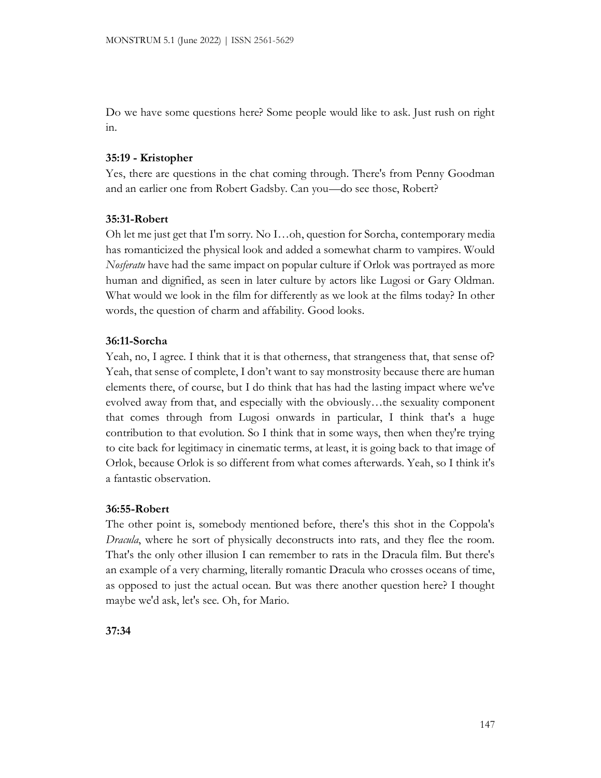Do we have some questions here? Some people would like to ask. Just rush on right in.

# **35:19 - Kristopher**

Yes, there are questions in the chat coming through. There's from Penny Goodman and an earlier one from Robert Gadsby. Can you—do see those, Robert?

# **35:31-Robert**

Oh let me just get that I'm sorry. No I…oh, question for Sorcha, contemporary media has romanticized the physical look and added a somewhat charm to vampires. Would *Nosferatu* have had the same impact on popular culture if Orlok was portrayed as more human and dignified, as seen in later culture by actors like Lugosi or Gary Oldman. What would we look in the film for differently as we look at the films today? In other words, the question of charm and affability. Good looks.

# **36:11-Sorcha**

Yeah, no, I agree. I think that it is that otherness, that strangeness that, that sense of? Yeah, that sense of complete, I don't want to say monstrosity because there are human elements there, of course, but I do think that has had the lasting impact where we've evolved away from that, and especially with the obviously…the sexuality component that comes through from Lugosi onwards in particular, I think that's a huge contribution to that evolution. So I think that in some ways, then when they're trying to cite back for legitimacy in cinematic terms, at least, it is going back to that image of Orlok, because Orlok is so different from what comes afterwards. Yeah, so I think it's a fantastic observation.

# **36:55-Robert**

The other point is, somebody mentioned before, there's this shot in the Coppola's *Dracula*, where he sort of physically deconstructs into rats, and they flee the room. That's the only other illusion I can remember to rats in the Dracula film. But there's an example of a very charming, literally romantic Dracula who crosses oceans of time, as opposed to just the actual ocean. But was there another question here? I thought maybe we'd ask, let's see. Oh, for Mario.

**37:34**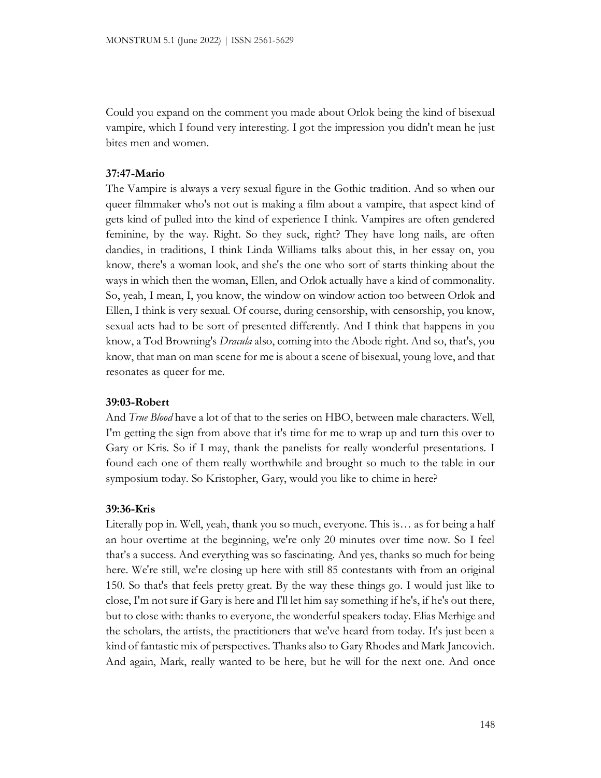Could you expand on the comment you made about Orlok being the kind of bisexual vampire, which I found very interesting. I got the impression you didn't mean he just bites men and women.

# **37:47-Mario**

The Vampire is always a very sexual figure in the Gothic tradition. And so when our queer filmmaker who's not out is making a film about a vampire, that aspect kind of gets kind of pulled into the kind of experience I think. Vampires are often gendered feminine, by the way. Right. So they suck, right? They have long nails, are often dandies, in traditions, I think Linda Williams talks about this, in her essay on, you know, there's a woman look, and she's the one who sort of starts thinking about the ways in which then the woman, Ellen, and Orlok actually have a kind of commonality. So, yeah, I mean, I, you know, the window on window action too between Orlok and Ellen, I think is very sexual. Of course, during censorship, with censorship, you know, sexual acts had to be sort of presented differently. And I think that happens in you know, a Tod Browning's *Dracula* also, coming into the Abode right. And so, that's, you know, that man on man scene for me is about a scene of bisexual, young love, and that resonates as queer for me.

# **39:03-Robert**

And *True Blood* have a lot of that to the series on HBO, between male characters. Well, I'm getting the sign from above that it's time for me to wrap up and turn this over to Gary or Kris. So if I may, thank the panelists for really wonderful presentations. I found each one of them really worthwhile and brought so much to the table in our symposium today. So Kristopher, Gary, would you like to chime in here?

# **39:36-Kris**

Literally pop in. Well, yeah, thank you so much, everyone. This is… as for being a half an hour overtime at the beginning, we're only 20 minutes over time now. So I feel that's a success. And everything was so fascinating. And yes, thanks so much for being here. We're still, we're closing up here with still 85 contestants with from an original 150. So that's that feels pretty great. By the way these things go. I would just like to close, I'm not sure if Gary is here and I'll let him say something if he's, if he's out there, but to close with: thanks to everyone, the wonderful speakers today. Elias Merhige and the scholars, the artists, the practitioners that we've heard from today. It's just been a kind of fantastic mix of perspectives. Thanks also to Gary Rhodes and Mark Jancovich. And again, Mark, really wanted to be here, but he will for the next one. And once